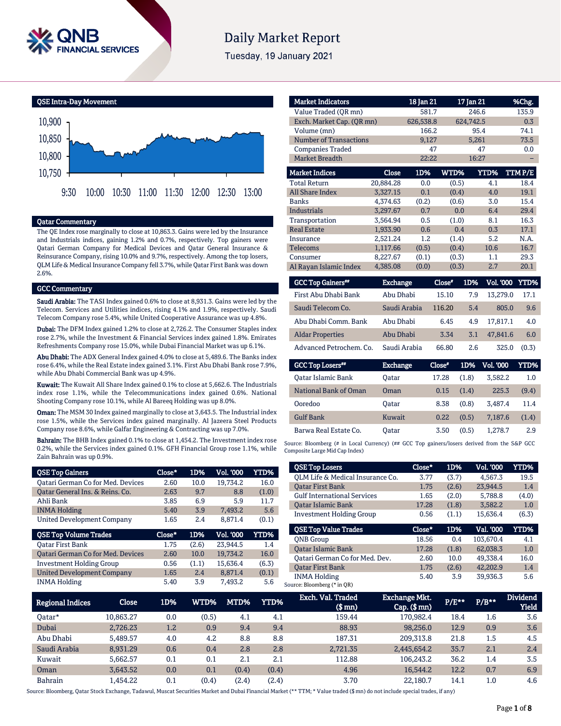

# **Daily Market Report**

Tuesday, 19 January 2021



# Qatar Commentary

The QE Index rose marginally to close at 10,863.3. Gains were led by the Insurance and Industrials indices, gaining 1.2% and 0.7%, respectively. Top gainers were Qatari German Company for Medical Devices and Qatar General Insurance & Reinsurance Company, rising 10.0% and 9.7%, respectively. Among the top losers, QLM Life & Medical Insurance Company fell 3.7%, while Qatar First Bank was down 2.6%.

## **GCC Commentary**

Saudi Arabia: The TASI Index gained 0.6% to close at 8,931.3. Gains were led by the Telecom. Services and Utilities indices, rising 4.1% and 1.9%, respectively. Saudi Telecom Company rose 5.4%, while United Cooperative Assurance was up 4.8%.

Dubai: The DFM Index gained 1.2% to close at 2,726.2. The Consumer Staples index rose 2.7%, while the Investment & Financial Services index gained 1.8%. Emirates Refreshments Company rose 15.0%, while Dubai Financial Market was up 6.1%.

Abu Dhabi: The ADX General Index gained 4.0% to close at 5,489.6. The Banks index rose 6.4%, while the Real Estate index gained 3.1%. First Abu Dhabi Bank rose 7.9%, while Abu Dhabi Commercial Bank was up 4.9%.

Kuwait: The Kuwait All Share Index gained 0.1% to close at 5,662.6. The Industrials index rose 1.1%, while the Telecommunications index gained 0.6%. National Shooting Company rose 10.1%, while Al Bareeq Holding was up 8.0%.

Oman: The MSM 30 Index gained marginally to close at 3,643.5. The Industrial index rose 1.5%, while the Services index gained marginally. Al Jazeera Steel Products Company rose 8.6%, while Galfar Engineering & Contracting was up 7.0%.

Bahrain: The BHB Index gained 0.1% to close at 1,454.2. The Investment index rose 0.2%, while the Services index gained 0.1%. GFH Financial Group rose 1.1%, while Zain Bahrain was up 0.9%.

| <b>OSE Top Gainers</b>                   | Close* | 1D%   | <b>Vol. '000</b> | <b>YTD%</b> |
|------------------------------------------|--------|-------|------------------|-------------|
| <b>Qatari German Co for Med. Devices</b> | 2.60   | 10.0  | 19,734.2         | 16.0        |
| Qatar General Ins. & Reins. Co.          | 2.63   | 9.7   | 8.8              | (1.0)       |
| Ahli Bank                                | 3.85   | 6.9   | 5.9              | 11.7        |
| <b>INMA Holding</b>                      | 5.40   | 3.9   | 7,493.2          | 5.6         |
| <b>United Development Company</b>        | 1.65   | 2.4   | 8,871.4          | (0.1)       |
|                                          |        |       |                  |             |
| <b>QSE Top Volume Trades</b>             | Close* | 1D%   | Vol. '000        | <b>YTD%</b> |
| <b>Oatar First Bank</b>                  | 1.75   | (2.6) | 23,944.5         | 1.4         |
| <b>Qatari German Co for Med. Devices</b> | 2.60   | 10.0  | 19,734.2         | 16.0        |
| <b>Investment Holding Group</b>          | 0.56   | (1.1) | 15.636.4         | (6.3)       |
| <b>United Development Company</b>        | 1.65   | 2.4   | 8.871.4          | (0.1)       |

| <b>Market Indicators</b>      |           | 18 Jan 21 |       | 17 Jan 21 | %Chg.  |
|-------------------------------|-----------|-----------|-------|-----------|--------|
| Value Traded (OR mn)          |           | 581.7     |       | 246.6     | 135.9  |
| Exch. Market Cap. (OR mn)     |           | 626,538.8 |       | 624,742.5 | 0.3    |
| Volume (mn)                   |           | 166.2     |       | 95.4      | 74.1   |
| <b>Number of Transactions</b> |           | 9,127     |       | 5,261     | 73.5   |
| <b>Companies Traded</b>       |           | 47        |       | 47        | 0.0    |
| <b>Market Breadth</b>         |           | 22:22     |       | 16:27     |        |
| <b>Market Indices</b>         | Close     | 1D%       | WTD%  | YTD%      | TTMP/E |
| <b>Total Return</b>           | 20,884.28 | 0.0       | (0.5) | 4.1       | 18.4   |
| <b>All Share Index</b>        | 3,327.15  | 0.1       | (0.4) | 4.0       | 19.1   |
| <b>Banks</b>                  | 4,374.63  | (0.2)     | (0.6) | 3.0       | 15.4   |
| Industrials                   | 3,297.67  | 0.7       | 0.0   | 6.4       | 29.4   |
| Transportation                | 3,564.94  | 0.5       | (1.0) | 8.1       | 16.3   |
| <b>Real Estate</b>            | 1,933.90  | 0.6       | 0.4   | 0.3       | 17.1   |
| Insurance                     | 2,521.24  | 1.2       | (1.4) | 5.2       | N.A.   |
| <b>Telecoms</b>               | 1,117.66  | (0.5)     | (0.4) | 10.6      | 16.7   |
| Consumer                      | 8,227.67  | (0.1)     | (0.3) | 1.1       | 29.3   |
| Al Rayan Islamic Index        | 4,385.08  | (0.0)     | (0.3) | 2.7       | 20.1   |

| <b>GCC Top Gainers**</b> | Exchange     | Close" | 1D% | Vol. '000 YTD% |       |
|--------------------------|--------------|--------|-----|----------------|-------|
| First Abu Dhabi Bank     | Abu Dhabi    | 15.10  | 7.9 | 13,279.0       | 17.1  |
| Saudi Telecom Co.        | Saudi Arabia | 116.20 | 5.4 | 805.0          | 9.6   |
| Abu Dhabi Comm. Bank     | Abu Dhabi    | 6.45   | 4.9 | 17.817.1       | 4.0   |
| <b>Aldar Properties</b>  | Abu Dhabi    | 3.34   | 3.1 | 47.841.6       | 6.0   |
| Advanced Petrochem. Co.  | Saudi Arabia | 66.80  | 2.6 | 325.0          | (0.3) |

| <b>GCC Top Losers</b> | <b>Exchange</b> | Close" | 1D%   | <b>Vol. '000</b> | YTD%  |
|-----------------------|-----------------|--------|-------|------------------|-------|
| Oatar Islamic Bank    | Oatar           | 17.28  | (1.8) | 3.582.2          | 1.0   |
| National Bank of Oman | Oman            | 0.15   | (1.4) | 225.3            | (9.4) |
| Ooredoo               | Oatar           | 8.38   | (0.8) | 3.487.4          | 11.4  |
| <b>Gulf Bank</b>      | Kuwait          | 0.22   | (0.5) | 7.187.6          | (1.4) |
| Barwa Real Estate Co. | Oatar           | 3.50   | (0.5) | 1.278.7          | 2.9   |

Source: Bloomberg (# in Local Currency) (## GCC Top gainers/losers derived from the S&P GCC Composite Large Mid Cap Index)

| <b>QSE Top Losers</b>              | Close* | 1D%   | <b>Vol. '000</b> | YTD%  |
|------------------------------------|--------|-------|------------------|-------|
| OLM Life & Medical Insurance Co.   | 3.77   | (3.7) | 4,567.3          | 19.5  |
| <b>Oatar First Bank</b>            | 1.75   | (2.6) | 23.944.5         | 1.4   |
| <b>Gulf International Services</b> | 1.65   | (2.0) | 5,788.8          | (4.0) |
| <b>Oatar Islamic Bank</b>          | 17.28  | (1.8) | 3.582.2          | 1.0   |
| <b>Investment Holding Group</b>    | 0.56   | (1.1) | 15,636.4         | (6.3) |
|                                    |        |       |                  |       |
| <b>OSE Top Value Trades</b>        | Close* | 1D%   | Val. '000        | YTD%  |
| <b>ONB</b> Group                   | 18.56  | 0.4   | 103,670.4        | 4.1   |
| <b>Oatar Islamic Bank</b>          | 17.28  | (1.8) | 62.038.3         | 1.0   |
| Oatari German Co for Med. Dev.     | 2.60   | 10.0  | 49.338.4         | 16.0  |
| <b>Oatar First Bank</b>            | 1.75   | (2.6) | 42.202.9         | 1.4   |

| <b>Regional Indices</b> | Close     | 1D%     | WTD%  | MTD%  | YTD%  | Exch. Val. Traded<br>$$$ mm $)$ | <b>Exchange Mkt.</b><br>$Cap.$ (\$ $mn$ ) | $P/E***$ | $P/B**$ | <b>Dividend</b><br><b>Yield</b> |
|-------------------------|-----------|---------|-------|-------|-------|---------------------------------|-------------------------------------------|----------|---------|---------------------------------|
| Oatar*                  | 10,863.27 | 0.0     | (0.5) | 4.1   | 4.1   | 159.44                          | 170,982.4                                 | 18.4     | $1.6\,$ | 3.6                             |
| Dubai                   | 2.726.23  | $1.2\,$ | 0.9   | 9.4   | 9.4   | 88.93                           | 98,256.0                                  | 12.9     | 0.9     | 3.6                             |
| Abu Dhabi               | 5.489.57  | 4.0     | 4.2   | 8.8   | 8.8   | 187.31                          | 209.313.8                                 | 21.8     | 1.5     | 4.5                             |
| Saudi Arabia            | 8,931.29  | 0.6     | 0.4   | 2.8   | 2.8   | 2,721.35                        | 2,445,654.2                               | 35.7     | 2.1     | 2.4                             |
| Kuwait                  | 5.662.57  | 0.1     | 0.1   | 2.1   | 2.1   | 112.88                          | 106.243.2                                 | 36.2     | 1.4     | 3.5                             |
| Oman                    | 3.643.52  | 0.0     | 0.1   | (0.4) | (0.4) | 4.96                            | 16.544.2                                  | 12.2     | 0.7     | 6.9                             |
| <b>Bahrain</b>          | 1.454.22  | 0.1     | (0.4) | (2.4) | (2.4) | 3.70                            | 22.180.7                                  | 14.1     | $1.0\,$ | 4.6                             |

Source: Bloomberg, Qatar Stock Exchange, Tadawul, Muscat Securities Market and Dubai Financial Market (\*\* TTM; \* Value traded (\$ mn) do not include special trades, if any)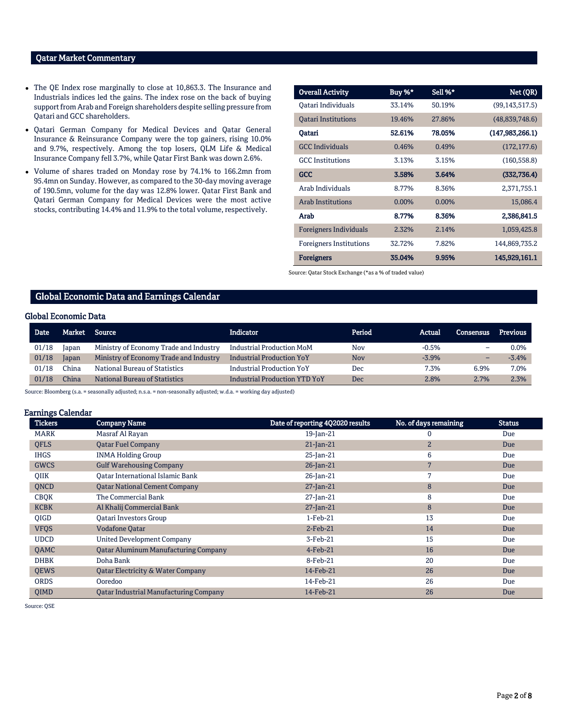# Qatar Market Commentary

- The QE Index rose marginally to close at 10,863.3. The Insurance and Industrials indices led the gains. The index rose on the back of buying support from Arab and Foreign shareholders despite selling pressure from Qatari and GCC shareholders.
- Qatari German Company for Medical Devices and Qatar General Insurance & Reinsurance Company were the top gainers, rising 10.0% and 9.7%, respectively. Among the top losers, QLM Life & Medical Insurance Company fell 3.7%, while Qatar First Bank was down 2.6%.
- Volume of shares traded on Monday rose by 74.1% to 166.2mn from 95.4mn on Sunday. However, as compared to the 30-day moving average of 190.5mn, volume for the day was 12.8% lower. Qatar First Bank and Qatari German Company for Medical Devices were the most active stocks, contributing 14.4% and 11.9% to the total volume, respectively.

| <b>Overall Activity</b>        | Buy %*   | Sell %*  | Net (QR)          |
|--------------------------------|----------|----------|-------------------|
| Qatari Individuals             | 33.14%   | 50.19%   | (99, 143, 517.5)  |
| <b>Oatari Institutions</b>     | 19.46%   | 27.86%   | (48, 839, 748.6)  |
| Oatari                         | 52.61%   | 78.05%   | (147, 983, 266.1) |
| <b>GCC</b> Individuals         | 0.46%    | 0.49%    | (172, 177.6)      |
| <b>GCC</b> Institutions        | 3.13%    | 3.15%    | (160, 558.8)      |
| GCC                            | 3.58%    | 3.64%    | (332, 736.4)      |
| Arab Individuals               | 8.77%    | 8.36%    | 2,371,755.1       |
| <b>Arab Institutions</b>       | $0.00\%$ | $0.00\%$ | 15,086.4          |
| Arab                           | 8.77%    | 8.36%    | 2,386,841.5       |
| <b>Foreigners Individuals</b>  | 2.32%    | 2.14%    | 1,059,425.8       |
| <b>Foreigners Institutions</b> | 32.72%   | 7.82%    | 144,869,735.2     |
| <b>Foreigners</b>              | 35.04%   | 9.95%    | 145,929,161.1     |

Source: Qatar Stock Exchange (\*as a % of traded value)

## Global Economic Data and Earnings Calendar

#### Global Economic Data

| <b>Date</b> | Market | Source                                 | <b>Indicator</b>                     | Period     | Actual  | Consensus | Previous |
|-------------|--------|----------------------------------------|--------------------------------------|------------|---------|-----------|----------|
| 01/18       | Iapan  | Ministry of Economy Trade and Industry | <b>Industrial Production MoM</b>     | <b>Nov</b> | $-0.5%$ | -         | 0.0%     |
| 01/18       | Japan  | Ministry of Economy Trade and Industry | <b>Industrial Production YoY</b>     | <b>Nov</b> | $-3.9%$ |           | $-3.4%$  |
| 01/18       | ∵hina  | National Bureau of Statistics          | <b>Industrial Production YoY</b>     | Dec        | 7.3%    | 6.9%      | 7.0%     |
| 01/18       | China. | National Bureau of Statistics          | <b>Industrial Production YTD YoY</b> | Dec        | 2.8%    | 2.7%      | 2.3%     |

Source: Bloomberg (s.a. = seasonally adjusted; n.s.a. = non-seasonally adjusted; w.d.a. = working day adjusted)

## Earnings Calendar

| <b>Tickers</b> | <b>Company Name</b>                           | Date of reporting 4Q2020 results | No. of days remaining | <b>Status</b> |
|----------------|-----------------------------------------------|----------------------------------|-----------------------|---------------|
| <b>MARK</b>    | Masraf Al Rayan                               | $19$ -Jan-21                     | 0                     | Due           |
| <b>QFLS</b>    | <b>Qatar Fuel Company</b>                     | $21$ -Jan-21                     | 2 <sup>1</sup>        | Due           |
| <b>IHGS</b>    | <b>INMA Holding Group</b>                     | 25-Jan-21                        | 6                     | Due           |
| <b>GWCS</b>    | <b>Gulf Warehousing Company</b>               | $26$ -Jan-21                     | 7                     | Due           |
| QIIK           | Oatar International Islamic Bank              | $26$ -Jan-21                     | 7                     | Due           |
| <b>ONCD</b>    | <b>Oatar National Cement Company</b>          | $27$ -Jan-21                     | 8                     | Due           |
| <b>CBQK</b>    | The Commercial Bank                           | $27$ -Jan-21                     | 8                     | Due           |
| <b>KCBK</b>    | Al Khalij Commercial Bank                     | $27$ -Jan-21                     | 8                     | Due           |
| <b>OIGD</b>    | Oatari Investors Group                        | $1-Feb-21$                       | 13                    | Due           |
| <b>VFQS</b>    | <b>Vodafone Qatar</b>                         | $2$ -Feb-21                      | 14                    | Due           |
| <b>UDCD</b>    | <b>United Development Company</b>             | 3-Feb-21                         | 15                    | Due           |
| QAMC           | <b>Qatar Aluminum Manufacturing Company</b>   | $4$ -Feb-21                      | 16                    | Due           |
| <b>DHBK</b>    | Doha Bank                                     | 8-Feb-21                         | 20                    | Due           |
| <b>QEWS</b>    | <b>Qatar Electricity &amp; Water Company</b>  | 14-Feb-21                        | 26                    | Due           |
| <b>ORDS</b>    | Ooredoo                                       | 14-Feb-21                        | 26                    | Due           |
| <b>OIMD</b>    | <b>Qatar Industrial Manufacturing Company</b> | 14-Feb-21                        | 26                    | Due           |

Source: QSE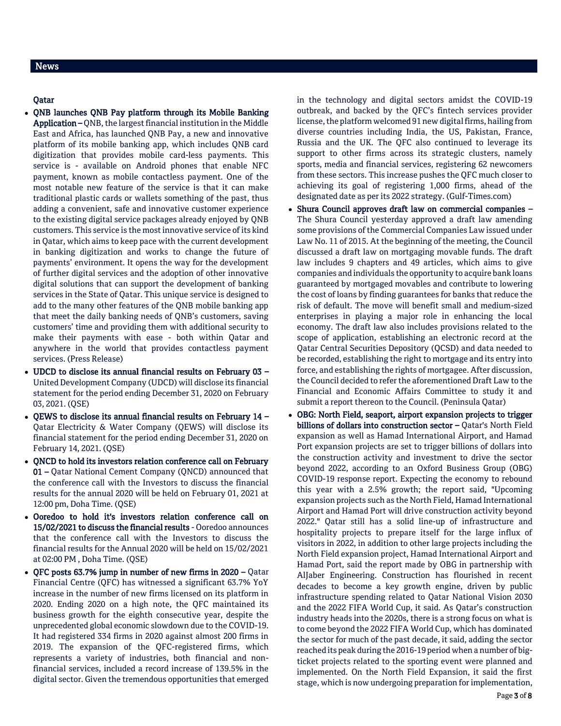# News

# Qatar

- QNB launches QNB Pay platform through its Mobile Banking Application – QNB, the largest financial institution in the Middle East and Africa, has launched QNB Pay, a new and innovative platform of its mobile banking app, which includes QNB card digitization that provides mobile card-less payments. This service is - available on Android phones that enable NFC payment, known as mobile contactless payment. One of the most notable new feature of the service is that it can make traditional plastic cards or wallets something of the past, thus adding a convenient, safe and innovative customer experience to the existing digital service packages already enjoyed by QNB customers. This service is the most innovative service of its kind in Qatar, which aims to keep pace with the current development in banking digitization and works to change the future of payments' environment. It opens the way for the development of further digital services and the adoption of other innovative digital solutions that can support the development of banking services in the State of Qatar. This unique service is designed to add to the many other features of the QNB mobile banking app that meet the daily banking needs of QNB's customers, saving customers' time and providing them with additional security to make their payments with ease - both within Qatar and anywhere in the world that provides contactless payment services. (Press Release)
- UDCD to disclose its annual financial results on February 03 United Development Company (UDCD) will disclose its financial statement for the period ending December 31, 2020 on February 03, 2021. (QSE)
- QEWS to disclose its annual financial results on February 14 Qatar Electricity & Water Company (QEWS) will disclose its financial statement for the period ending December 31, 2020 on February 14, 2021. (QSE)
- QNCD to hold its investors relation conference call on February 01 – Qatar National Cement Company (QNCD) announced that the conference call with the Investors to discuss the financial results for the annual 2020 will be held on February 01, 2021 at 12:00 pm, Doha Time. (QSE)
- Ooredoo to hold it's investors relation conference call on 15/02/2021 to discuss the financial results - Ooredoo announces that the conference call with the Investors to discuss the financial results for the Annual 2020 will be held on 15/02/2021 at 02:00 PM , Doha Time. (QSE)
- QFC posts 63.7% jump in number of new firms in 2020 Qatar Financial Centre (QFC) has witnessed a significant 63.7% YoY increase in the number of new firms licensed on its platform in 2020. Ending 2020 on a high note, the QFC maintained its business growth for the eighth consecutive year, despite the unprecedented global economic slowdown due to the COVID-19. It had registered 334 firms in 2020 against almost 200 firms in 2019. The expansion of the QFC-registered firms, which represents a variety of industries, both financial and nonfinancial services, included a record increase of 139.5% in the digital sector. Given the tremendous opportunities that emerged

in the technology and digital sectors amidst the COVID-19 outbreak, and backed by the QFC's fintech services provider license, the platform welcomed 91 new digital firms, hailing from diverse countries including India, the US, Pakistan, France, Russia and the UK. The QFC also continued to leverage its support to other firms across its strategic clusters, namely sports, media and financial services, registering 62 newcomers from these sectors. This increase pushes the QFC much closer to achieving its goal of registering 1,000 firms, ahead of the designated date as per its 2022 strategy. (Gulf-Times.com)

- Shura Council approves draft law on commercial companies The Shura Council yesterday approved a draft law amending some provisions of the Commercial Companies Law issued under Law No. 11 of 2015. At the beginning of the meeting, the Council discussed a draft law on mortgaging movable funds. The draft law includes 9 chapters and 49 articles, which aims to give companies and individuals the opportunity to acquire bank loans guaranteed by mortgaged movables and contribute to lowering the cost of loans by finding guarantees for banks that reduce the risk of default. The move will benefit small and medium-sized enterprises in playing a major role in enhancing the local economy. The draft law also includes provisions related to the scope of application, establishing an electronic record at the Qatar Central Securities Depository (QCSD) and data needed to be recorded, establishing the right to mortgage and its entry into force, and establishing the rights of mortgagee. After discussion, the Council decided to refer the aforementioned Draft Law to the Financial and Economic Affairs Committee to study it and submit a report thereon to the Council. (Peninsula Qatar)
- OBG: North Field, seaport, airport expansion projects to trigger billions of dollars into construction sector - Qatar's North Field expansion as well as Hamad International Airport, and Hamad Port expansion projects are set to trigger billions of dollars into the construction activity and investment to drive the sector beyond 2022, according to an Oxford Business Group (OBG) COVID-19 response report. Expecting the economy to rebound this year with a 2.5% growth; the report said, "Upcoming expansion projects such as the North Field, Hamad International Airport and Hamad Port will drive construction activity beyond 2022." Qatar still has a solid line-up of infrastructure and hospitality projects to prepare itself for the large influx of visitors in 2022, in addition to other large projects including the North Field expansion project, Hamad International Airport and Hamad Port, said the report made by OBG in partnership with AlJaber Engineering. Construction has flourished in recent decades to become a key growth engine, driven by public infrastructure spending related to Qatar National Vision 2030 and the 2022 FIFA World Cup, it said. As Qatar's construction industry heads into the 2020s, there is a strong focus on what is to come beyond the 2022 FIFA World Cup, which has dominated the sector for much of the past decade, it said, adding the sector reached its peak during the 2016-19 period when a number of bigticket projects related to the sporting event were planned and implemented. On the North Field Expansion, it said the first stage, which is now undergoing preparation for implementation,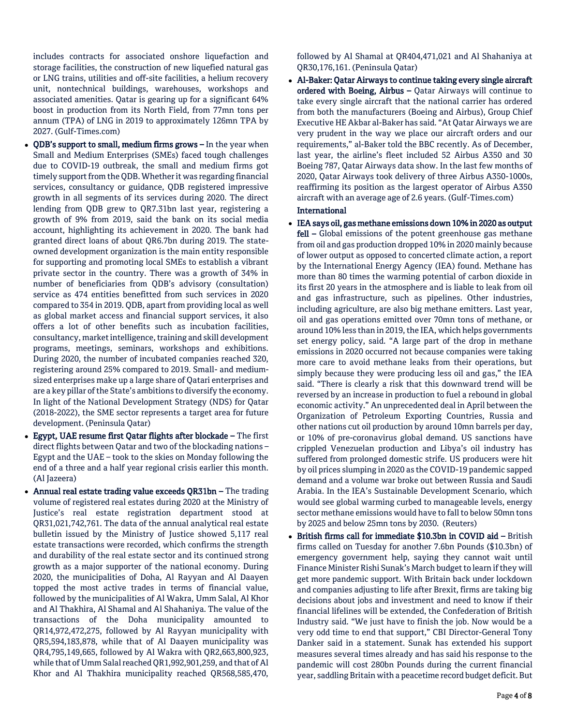includes contracts for associated onshore liquefaction and storage facilities, the construction of new liquefied natural gas or LNG trains, utilities and off-site facilities, a helium recovery unit, nontechnical buildings, warehouses, workshops and associated amenities. Qatar is gearing up for a significant 64% boost in production from its North Field, from 77mn tons per annum (TPA) of LNG in 2019 to approximately 126mn TPA by 2027. (Gulf-Times.com)

- QDB's support to small, medium firms grows In the year when Small and Medium Enterprises (SMEs) faced tough challenges due to COVID-19 outbreak, the small and medium firms got timely support from the QDB. Whether it was regarding financial services, consultancy or guidance, QDB registered impressive growth in all segments of its services during 2020. The direct lending from QDB grew to QR7.31bn last year, registering a growth of 9% from 2019, said the bank on its social media account, highlighting its achievement in 2020. The bank had granted direct loans of about QR6.7bn during 2019. The stateowned development organization is the main entity responsible for supporting and promoting local SMEs to establish a vibrant private sector in the country. There was a growth of 34% in number of beneficiaries from QDB's advisory (consultation) service as 474 entities benefitted from such services in 2020 compared to 354 in 2019. QDB, apart from providing local as well as global market access and financial support services, it also offers a lot of other benefits such as incubation facilities, consultancy, market intelligence, training and skill development programs, meetings, seminars, workshops and exhibitions. During 2020, the number of incubated companies reached 320, registering around 25% compared to 2019. Small- and mediumsized enterprises make up a large share of Qatari enterprises and are a key pillar of the State's ambitions to diversify the economy. In light of the National Development Strategy (NDS) for Qatar (2018-2022), the SME sector represents a target area for future development. (Peninsula Qatar)
- Egypt, UAE resume first Qatar flights after blockade The first direct flights between Qatar and two of the blockading nations – Egypt and the UAE – took to the skies on Monday following the end of a three and a half year regional crisis earlier this month. (Al Jazeera)
- Annual real estate trading value exceeds QR31bn The trading volume of registered real estates during 2020 at the Ministry of Justice's real estate registration department stood at QR31,021,742,761. The data of the annual analytical real estate bulletin issued by the Ministry of Justice showed 5,117 real estate transactions were recorded, which confirms the strength and durability of the real estate sector and its continued strong growth as a major supporter of the national economy. During 2020, the municipalities of Doha, Al Rayyan and Al Daayen topped the most active trades in terms of financial value, followed by the municipalities of Al Wakra, Umm Salal, Al Khor and Al Thakhira, Al Shamal and Al Shahaniya. The value of the transactions of the Doha municipality amounted to QR14,972,472,275, followed by Al Rayyan municipality with QR5,594,183,878, while that of Al Daayen municipality was QR4,795,149,665, followed by Al Wakra with QR2,663,800,923, while that of Umm Salal reached QR1,992,901,259, and that of Al Khor and Al Thakhira municipality reached QR568,585,470,

followed by Al Shamal at QR404,471,021 and Al Shahaniya at QR30,176,161. (Peninsula Qatar)

 Al-Baker: Qatar Airways to continue taking every single aircraft ordered with Boeing, Airbus – Qatar Airways will continue to take every single aircraft that the national carrier has ordered from both the manufacturers (Boeing and Airbus), Group Chief Executive HE Akbar al-Baker has said. "At Qatar Airways we are very prudent in the way we place our aircraft orders and our requirements," al-Baker told the BBC recently. As of December, last year, the airline's fleet included 52 Airbus A350 and 30 Boeing 787, Qatar Airways data show. In the last few months of 2020, Qatar Airways took delivery of three Airbus A350-1000s, reaffirming its position as the largest operator of Airbus A350 aircraft with an average age of 2.6 years. (Gulf-Times.com)

# International

- IEA says oil, gas methane emissions down 10% in 2020 as output fell - Global emissions of the potent greenhouse gas methane from oil and gas production dropped 10% in 2020 mainly because of lower output as opposed to concerted climate action, a report by the International Energy Agency (IEA) found. Methane has more than 80 times the warming potential of carbon dioxide in its first 20 years in the atmosphere and is liable to leak from oil and gas infrastructure, such as pipelines. Other industries, including agriculture, are also big methane emitters. Last year, oil and gas operations emitted over 70mn tons of methane, or around 10% less than in 2019, the IEA, which helps governments set energy policy, said. "A large part of the drop in methane emissions in 2020 occurred not because companies were taking more care to avoid methane leaks from their operations, but simply because they were producing less oil and gas," the IEA said. "There is clearly a risk that this downward trend will be reversed by an increase in production to fuel a rebound in global economic activity." An unprecedented deal in April between the Organization of Petroleum Exporting Countries, Russia and other nations cut oil production by around 10mn barrels per day, or 10% of pre-coronavirus global demand. US sanctions have crippled Venezuelan production and Libya's oil industry has suffered from prolonged domestic strife. US producers were hit by oil prices slumping in 2020 as the COVID-19 pandemic sapped demand and a volume war broke out between Russia and Saudi Arabia. In the IEA's Sustainable Development Scenario, which would see global warming curbed to manageable levels, energy sector methane emissions would have to fall to below 50mn tons by 2025 and below 25mn tons by 2030. (Reuters)
- British firms call for immediate \$10.3bn in COVID aid British firms called on Tuesday for another 7.6bn Pounds (\$10.3bn) of emergency government help, saying they cannot wait until Finance Minister Rishi Sunak's March budget to learn if they will get more pandemic support. With Britain back under lockdown and companies adjusting to life after Brexit, firms are taking big decisions about jobs and investment and need to know if their financial lifelines will be extended, the Confederation of British Industry said. "We just have to finish the job. Now would be a very odd time to end that support," CBI Director-General Tony Danker said in a statement. Sunak has extended his support measures several times already and has said his response to the pandemic will cost 280bn Pounds during the current financial year, saddling Britain with a peacetime record budget deficit. But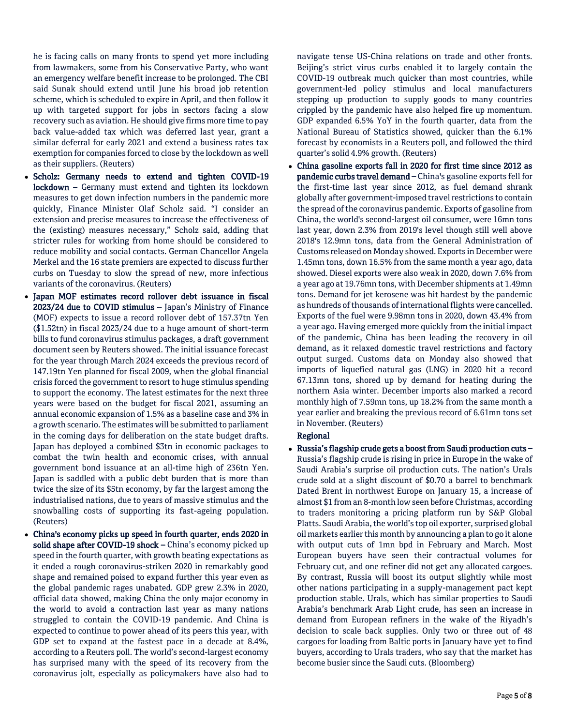he is facing calls on many fronts to spend yet more including from lawmakers, some from his Conservative Party, who want an emergency welfare benefit increase to be prolonged. The CBI said Sunak should extend until June his broad job retention scheme, which is scheduled to expire in April, and then follow it up with targeted support for jobs in sectors facing a slow recovery such as aviation. He should give firms more time to pay back value-added tax which was deferred last year, grant a similar deferral for early 2021 and extend a business rates tax exemption for companies forced to close by the lockdown as well as their suppliers. (Reuters)

- Scholz: Germany needs to extend and tighten COVID-19 lockdown – Germany must extend and tighten its lockdown measures to get down infection numbers in the pandemic more quickly, Finance Minister Olaf Scholz said. "I consider an extension and precise measures to increase the effectiveness of the (existing) measures necessary," Scholz said, adding that stricter rules for working from home should be considered to reduce mobility and social contacts. German Chancellor Angela Merkel and the 16 state premiers are expected to discuss further curbs on Tuesday to slow the spread of new, more infectious variants of the coronavirus. (Reuters)
- Japan MOF estimates record rollover debt issuance in fiscal 2023/24 due to COVID stimulus – Japan's Ministry of Finance (MOF) expects to issue a record rollover debt of 157.37tn Yen (\$1.52tn) in fiscal 2023/24 due to a huge amount of short-term bills to fund coronavirus stimulus packages, a draft government document seen by Reuters showed. The initial issuance forecast for the year through March 2024 exceeds the previous record of 147.19tn Yen planned for fiscal 2009, when the global financial crisis forced the government to resort to huge stimulus spending to support the economy. The latest estimates for the next three years were based on the budget for fiscal 2021, assuming an annual economic expansion of 1.5% as a baseline case and 3% in a growth scenario. The estimates will be submitted to parliament in the coming days for deliberation on the state budget drafts. Japan has deployed a combined \$3tn in economic packages to combat the twin health and economic crises, with annual government bond issuance at an all-time high of 236tn Yen. Japan is saddled with a public debt burden that is more than twice the size of its \$5tn economy, by far the largest among the industrialised nations, due to years of massive stimulus and the snowballing costs of supporting its fast-ageing population. (Reuters)
- China's economy picks up speed in fourth quarter, ends 2020 in solid shape after COVID-19 shock - China's economy picked up speed in the fourth quarter, with growth beating expectations as it ended a rough coronavirus-striken 2020 in remarkably good shape and remained poised to expand further this year even as the global pandemic rages unabated. GDP grew 2.3% in 2020, official data showed, making China the only major economy in the world to avoid a contraction last year as many nations struggled to contain the COVID-19 pandemic. And China is expected to continue to power ahead of its peers this year, with GDP set to expand at the fastest pace in a decade at 8.4%, according to a Reuters poll. The world's second-largest economy has surprised many with the speed of its recovery from the coronavirus jolt, especially as policymakers have also had to

navigate tense US-China relations on trade and other fronts. Beijing's strict virus curbs enabled it to largely contain the COVID-19 outbreak much quicker than most countries, while government-led policy stimulus and local manufacturers stepping up production to supply goods to many countries crippled by the pandemic have also helped fire up momentum. GDP expanded 6.5% YoY in the fourth quarter, data from the National Bureau of Statistics showed, quicker than the 6.1% forecast by economists in a Reuters poll, and followed the third quarter's solid 4.9% growth. (Reuters)

 China gasoline exports fall in 2020 for first time since 2012 as pandemic curbs travel demand – China's gasoline exports fell for the first-time last year since 2012, as fuel demand shrank globally after government-imposed travel restrictions to contain the spread of the coronavirus pandemic. Exports of gasoline from China, the world's second-largest oil consumer, were 16mn tons last year, down 2.3% from 2019's level though still well above 2018's 12.9mn tons, data from the General Administration of Customs released on Monday showed. Exports in December were 1.45mn tons, down 16.5% from the same month a year ago, data showed. Diesel exports were also weak in 2020, down 7.6% from a year ago at 19.76mn tons, with December shipments at 1.49mn tons. Demand for jet kerosene was hit hardest by the pandemic as hundreds of thousands of international flights were cancelled. Exports of the fuel were 9.98mn tons in 2020, down 43.4% from a year ago. Having emerged more quickly from the initial impact of the pandemic, China has been leading the recovery in oil demand, as it relaxed domestic travel restrictions and factory output surged. Customs data on Monday also showed that imports of liquefied natural gas (LNG) in 2020 hit a record 67.13mn tons, shored up by demand for heating during the northern Asia winter. December imports also marked a record monthly high of 7.59mn tons, up 18.2% from the same month a year earlier and breaking the previous record of 6.61mn tons set in November. (Reuters)

## Regional

 Russia's flagship crude gets a boost from Saudi production cuts – Russia's flagship crude is rising in price in Europe in the wake of Saudi Arabia's surprise oil production cuts. The nation's Urals crude sold at a slight discount of \$0.70 a barrel to benchmark Dated Brent in northwest Europe on January 15, a increase of almost \$1 from an 8-month low seen before Christmas, according to traders monitoring a pricing platform run by S&P Global Platts. Saudi Arabia, the world's top oil exporter, surprised global oil markets earlier this month by announcing a plan to go it alone with output cuts of 1mn bpd in February and March. Most European buyers have seen their contractual volumes for February cut, and one refiner did not get any allocated cargoes. By contrast, Russia will boost its output slightly while most other nations participating in a supply-management pact kept production stable. Urals, which has similar properties to Saudi Arabia's benchmark Arab Light crude, has seen an increase in demand from European refiners in the wake of the Riyadh's decision to scale back supplies. Only two or three out of 48 cargoes for loading from Baltic ports in January have yet to find buyers, according to Urals traders, who say that the market has become busier since the Saudi cuts. (Bloomberg)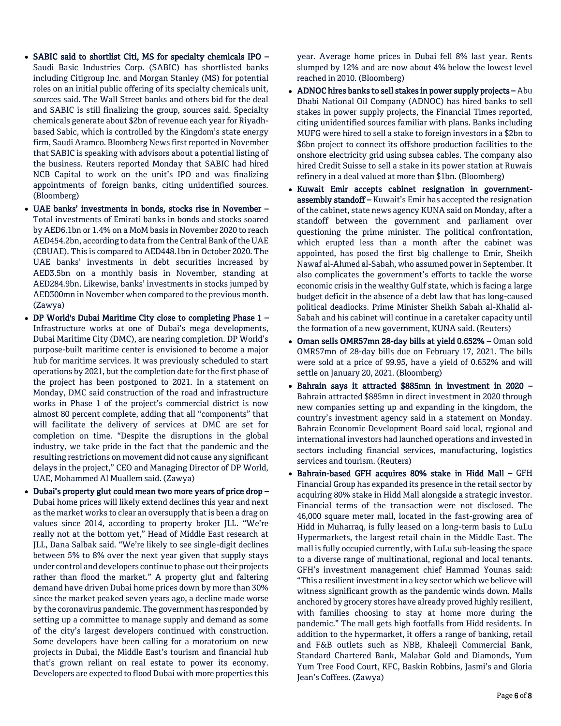- SABIC said to shortlist Citi, MS for specialty chemicals IPO Saudi Basic Industries Corp. (SABIC) has shortlisted banks including Citigroup Inc. and Morgan Stanley (MS) for potential roles on an initial public offering of its specialty chemicals unit, sources said. The Wall Street banks and others bid for the deal and SABIC is still finalizing the group, sources said. Specialty chemicals generate about \$2bn of revenue each year for Riyadhbased Sabic, which is controlled by the Kingdom's state energy firm, Saudi Aramco. Bloomberg News first reported in November that SABIC is speaking with advisors about a potential listing of the business. Reuters reported Monday that SABIC had hired NCB Capital to work on the unit's IPO and was finalizing appointments of foreign banks, citing unidentified sources. (Bloomberg)
- UAE banks' investments in bonds, stocks rise in November Total investments of Emirati banks in bonds and stocks soared by AED6.1bn or 1.4% on a MoM basis in November 2020 to reach AED454.2bn, according to data from the Central Bank of the UAE (CBUAE). This is compared to AED448.1bn in October 2020. The UAE banks' investments in debt securities increased by AED3.5bn on a monthly basis in November, standing at AED284.9bn. Likewise, banks' investments in stocks jumped by AED300mn in November when compared to the previous month. (Zawya)
- DP World's Dubai Maritime City close to completing Phase 1 Infrastructure works at one of Dubai's mega developments, Dubai Maritime City (DMC), are nearing completion. DP World's purpose-built maritime center is envisioned to become a major hub for maritime services. It was previously scheduled to start operations by 2021, but the completion date for the first phase of the project has been postponed to 2021. In a statement on Monday, DMC said construction of the road and infrastructure works in Phase 1 of the project's commercial district is now almost 80 percent complete, adding that all "components" that will facilitate the delivery of services at DMC are set for completion on time. "Despite the disruptions in the global industry, we take pride in the fact that the pandemic and the resulting restrictions on movement did not cause any significant delays in the project," CEO and Managing Director of DP World, UAE, Mohammed Al Muallem said. (Zawya)
- Dubai's property glut could mean two more years of price drop Dubai home prices will likely extend declines this year and next as the market works to clear an oversupply that is been a drag on values since 2014, according to property broker JLL. "We're really not at the bottom yet," Head of Middle East research at JLL, Dana Salbak said. "We're likely to see single-digit declines between 5% to 8% over the next year given that supply stays under control and developers continue to phase out their projects rather than flood the market." A property glut and faltering demand have driven Dubai home prices down by more than 30% since the market peaked seven years ago, a decline made worse by the coronavirus pandemic. The government has responded by setting up a committee to manage supply and demand as some of the city's largest developers continued with construction. Some developers have been calling for a moratorium on new projects in Dubai, the Middle East's tourism and financial hub that's grown reliant on real estate to power its economy. Developers are expected to flood Dubai with more properties this

year. Average home prices in Dubai fell 8% last year. Rents slumped by 12% and are now about 4% below the lowest level reached in 2010. (Bloomberg)

- ADNOC hires banks to sell stakes in power supply projects Abu Dhabi National Oil Company (ADNOC) has hired banks to sell stakes in power supply projects, the Financial Times reported, citing unidentified sources familiar with plans. Banks including MUFG were hired to sell a stake to foreign investors in a \$2bn to \$6bn project to connect its offshore production facilities to the onshore electricity grid using subsea cables. The company also hired Credit Suisse to sell a stake in its power station at Ruwais refinery in a deal valued at more than \$1bn. (Bloomberg)
- Kuwait Emir accepts cabinet resignation in governmentassembly standoff – Kuwait's Emir has accepted the resignation of the cabinet, state news agency KUNA said on Monday, after a standoff between the government and parliament over questioning the prime minister. The political confrontation, which erupted less than a month after the cabinet was appointed, has posed the first big challenge to Emir, Sheikh Nawaf al-Ahmed al-Sabah, who assumed power in September. It also complicates the government's efforts to tackle the worse economic crisis in the wealthy Gulf state, which is facing a large budget deficit in the absence of a debt law that has long-caused political deadlocks. Prime Minister Sheikh Sabah al-Khalid al-Sabah and his cabinet will continue in a caretaker capacity until the formation of a new government, KUNA said. (Reuters)
- Oman sells OMR57mn 28-day bills at yield 0.652% Oman sold OMR57mn of 28-day bills due on February 17, 2021. The bills were sold at a price of 99.95, have a yield of 0.652% and will settle on January 20, 2021. (Bloomberg)
- Bahrain says it attracted \$885mn in investment in 2020 Bahrain attracted \$885mn in direct investment in 2020 through new companies setting up and expanding in the kingdom, the country's investment agency said in a statement on Monday. Bahrain Economic Development Board said local, regional and international investors had launched operations and invested in sectors including financial services, manufacturing, logistics services and tourism. (Reuters)
- Bahrain-based GFH acquires 80% stake in Hidd Mall GFH Financial Group has expanded its presence in the retail sector by acquiring 80% stake in Hidd Mall alongside a strategic investor. Financial terms of the transaction were not disclosed. The 46,000 square meter mall, located in the fast-growing area of Hidd in Muharraq, is fully leased on a long-term basis to LuLu Hypermarkets, the largest retail chain in the Middle East. The mall is fully occupied currently, with LuLu sub-leasing the space to a diverse range of multinational, regional and local tenants. GFH's investment management chief Hammad Younas said: "This a resilient investment in a key sector which we believe will witness significant growth as the pandemic winds down. Malls anchored by grocery stores have already proved highly resilient, with families choosing to stay at home more during the pandemic." The mall gets high footfalls from Hidd residents. In addition to the hypermarket, it offers a range of banking, retail and F&B outlets such as NBB, Khaleeji Commercial Bank, Standard Chartered Bank, Malabar Gold and Diamonds, Yum Yum Tree Food Court, KFC, Baskin Robbins, Jasmi's and Gloria Jean's Coffees. (Zawya)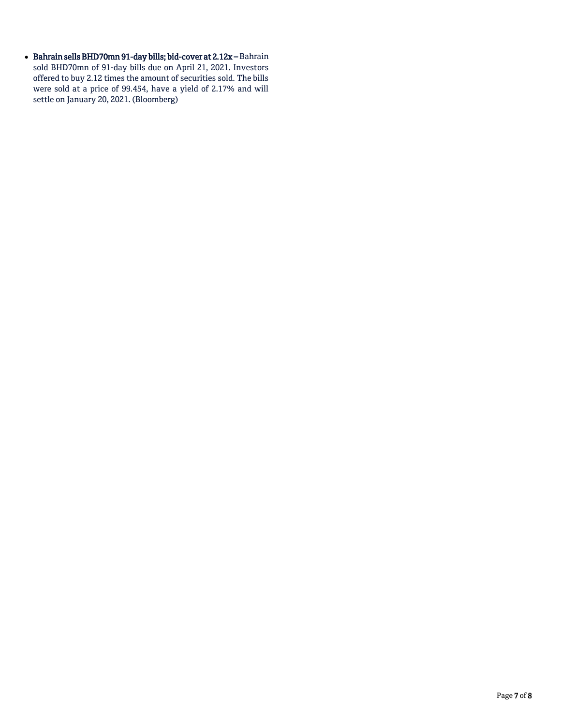- Bahrain sells BHD70mn 91-day bills; bid-cover at  $2.12x -$ Bahrain sold BHD70mn of 91-day bills due on April 21, 2021. Investors offered to buy 2.12 times the amount of securities sold. The bills were sold at a price of 99.454, have a yield of 2.17% and will settle on January 20, 2021. (Bloomberg)